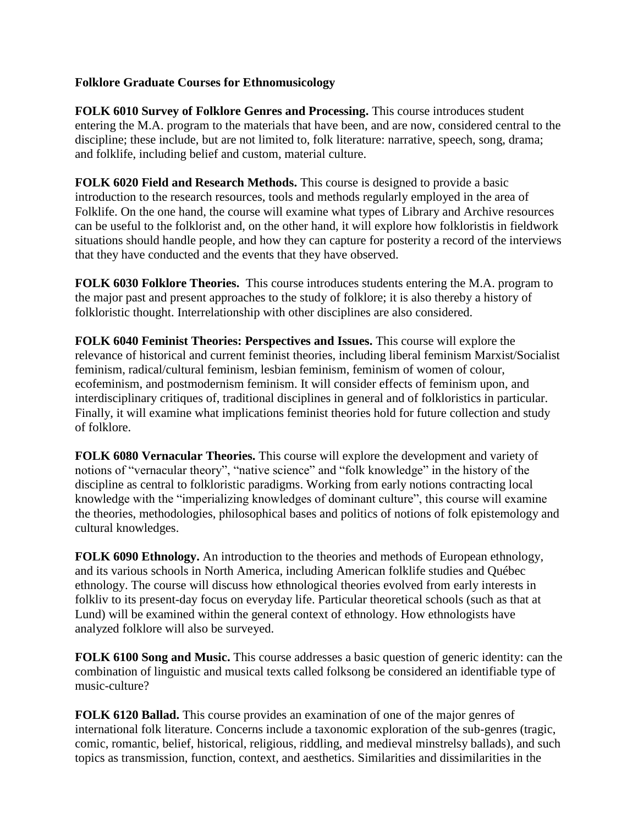## **Folklore Graduate Courses for Ethnomusicology**

**FOLK 6010 Survey of Folklore Genres and Processing.** This course introduces student entering the M.A. program to the materials that have been, and are now, considered central to the discipline; these include, but are not limited to, folk literature: narrative, speech, song, drama; and folklife, including belief and custom, material culture.

**FOLK 6020 Field and Research Methods.** This course is designed to provide a basic introduction to the research resources, tools and methods regularly employed in the area of Folklife. On the one hand, the course will examine what types of Library and Archive resources can be useful to the folklorist and, on the other hand, it will explore how folkloristis in fieldwork situations should handle people, and how they can capture for posterity a record of the interviews that they have conducted and the events that they have observed.

**FOLK 6030 Folklore Theories.** This course introduces students entering the M.A. program to the major past and present approaches to the study of folklore; it is also thereby a history of folkloristic thought. Interrelationship with other disciplines are also considered.

**FOLK 6040 Feminist Theories: Perspectives and Issues.** This course will explore the relevance of historical and current feminist theories, including liberal feminism Marxist/Socialist feminism, radical/cultural feminism, lesbian feminism, feminism of women of colour, ecofeminism, and postmodernism feminism. It will consider effects of feminism upon, and interdisciplinary critiques of, traditional disciplines in general and of folkloristics in particular. Finally, it will examine what implications feminist theories hold for future collection and study of folklore.

**FOLK 6080 Vernacular Theories.** This course will explore the development and variety of notions of "vernacular theory", "native science" and "folk knowledge" in the history of the discipline as central to folkloristic paradigms. Working from early notions contracting local knowledge with the "imperializing knowledges of dominant culture", this course will examine the theories, methodologies, philosophical bases and politics of notions of folk epistemology and cultural knowledges.

**FOLK 6090 Ethnology.** An introduction to the theories and methods of European ethnology, and its various schools in North America, including American folklife studies and Québec ethnology. The course will discuss how ethnological theories evolved from early interests in folkliv to its present-day focus on everyday life. Particular theoretical schools (such as that at Lund) will be examined within the general context of ethnology. How ethnologists have analyzed folklore will also be surveyed.

**FOLK 6100 Song and Music.** This course addresses a basic question of generic identity: can the combination of linguistic and musical texts called folksong be considered an identifiable type of music-culture?

**FOLK 6120 Ballad.** This course provides an examination of one of the major genres of international folk literature. Concerns include a taxonomic exploration of the sub-genres (tragic, comic, romantic, belief, historical, religious, riddling, and medieval minstrelsy ballads), and such topics as transmission, function, context, and aesthetics. Similarities and dissimilarities in the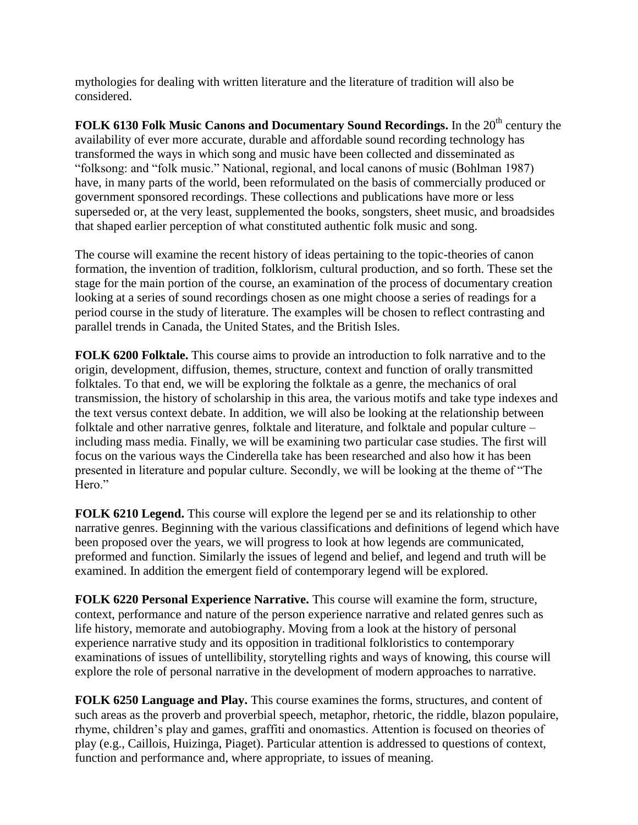mythologies for dealing with written literature and the literature of tradition will also be considered.

**FOLK 6130 Folk Music Canons and Documentary Sound Recordings.** In the 20<sup>th</sup> century the availability of ever more accurate, durable and affordable sound recording technology has transformed the ways in which song and music have been collected and disseminated as "folksong: and "folk music." National, regional, and local canons of music (Bohlman 1987) have, in many parts of the world, been reformulated on the basis of commercially produced or government sponsored recordings. These collections and publications have more or less superseded or, at the very least, supplemented the books, songsters, sheet music, and broadsides that shaped earlier perception of what constituted authentic folk music and song.

The course will examine the recent history of ideas pertaining to the topic-theories of canon formation, the invention of tradition, folklorism, cultural production, and so forth. These set the stage for the main portion of the course, an examination of the process of documentary creation looking at a series of sound recordings chosen as one might choose a series of readings for a period course in the study of literature. The examples will be chosen to reflect contrasting and parallel trends in Canada, the United States, and the British Isles.

**FOLK 6200 Folktale.** This course aims to provide an introduction to folk narrative and to the origin, development, diffusion, themes, structure, context and function of orally transmitted folktales. To that end, we will be exploring the folktale as a genre, the mechanics of oral transmission, the history of scholarship in this area, the various motifs and take type indexes and the text versus context debate. In addition, we will also be looking at the relationship between folktale and other narrative genres, folktale and literature, and folktale and popular culture – including mass media. Finally, we will be examining two particular case studies. The first will focus on the various ways the Cinderella take has been researched and also how it has been presented in literature and popular culture. Secondly, we will be looking at the theme of "The Hero."

**FOLK 6210 Legend.** This course will explore the legend per se and its relationship to other narrative genres. Beginning with the various classifications and definitions of legend which have been proposed over the years, we will progress to look at how legends are communicated, preformed and function. Similarly the issues of legend and belief, and legend and truth will be examined. In addition the emergent field of contemporary legend will be explored.

**FOLK 6220 Personal Experience Narrative.** This course will examine the form, structure, context, performance and nature of the person experience narrative and related genres such as life history, memorate and autobiography. Moving from a look at the history of personal experience narrative study and its opposition in traditional folkloristics to contemporary examinations of issues of untellibility, storytelling rights and ways of knowing, this course will explore the role of personal narrative in the development of modern approaches to narrative.

**FOLK 6250 Language and Play.** This course examines the forms, structures, and content of such areas as the proverb and proverbial speech, metaphor, rhetoric, the riddle, blazon populaire, rhyme, children's play and games, graffiti and onomastics. Attention is focused on theories of play (e.g., Caillois, Huizinga, Piaget). Particular attention is addressed to questions of context, function and performance and, where appropriate, to issues of meaning.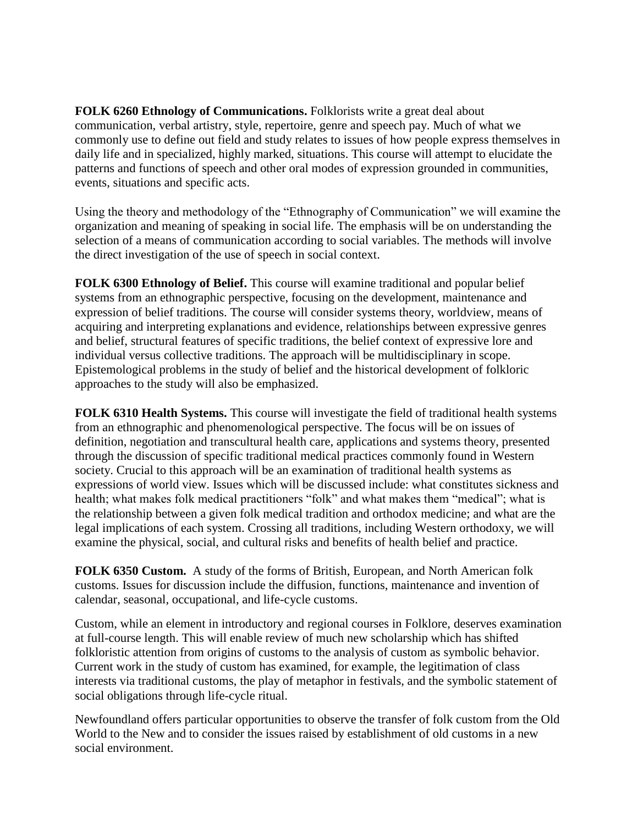**FOLK 6260 Ethnology of Communications.** Folklorists write a great deal about communication, verbal artistry, style, repertoire, genre and speech pay. Much of what we commonly use to define out field and study relates to issues of how people express themselves in daily life and in specialized, highly marked, situations. This course will attempt to elucidate the patterns and functions of speech and other oral modes of expression grounded in communities, events, situations and specific acts.

Using the theory and methodology of the "Ethnography of Communication" we will examine the organization and meaning of speaking in social life. The emphasis will be on understanding the selection of a means of communication according to social variables. The methods will involve the direct investigation of the use of speech in social context.

**FOLK 6300 Ethnology of Belief.** This course will examine traditional and popular belief systems from an ethnographic perspective, focusing on the development, maintenance and expression of belief traditions. The course will consider systems theory, worldview, means of acquiring and interpreting explanations and evidence, relationships between expressive genres and belief, structural features of specific traditions, the belief context of expressive lore and individual versus collective traditions. The approach will be multidisciplinary in scope. Epistemological problems in the study of belief and the historical development of folkloric approaches to the study will also be emphasized.

**FOLK 6310 Health Systems.** This course will investigate the field of traditional health systems from an ethnographic and phenomenological perspective. The focus will be on issues of definition, negotiation and transcultural health care, applications and systems theory, presented through the discussion of specific traditional medical practices commonly found in Western society. Crucial to this approach will be an examination of traditional health systems as expressions of world view. Issues which will be discussed include: what constitutes sickness and health; what makes folk medical practitioners "folk" and what makes them "medical"; what is the relationship between a given folk medical tradition and orthodox medicine; and what are the legal implications of each system. Crossing all traditions, including Western orthodoxy, we will examine the physical, social, and cultural risks and benefits of health belief and practice.

**FOLK 6350 Custom.** A study of the forms of British, European, and North American folk customs. Issues for discussion include the diffusion, functions, maintenance and invention of calendar, seasonal, occupational, and life-cycle customs.

Custom, while an element in introductory and regional courses in Folklore, deserves examination at full-course length. This will enable review of much new scholarship which has shifted folkloristic attention from origins of customs to the analysis of custom as symbolic behavior. Current work in the study of custom has examined, for example, the legitimation of class interests via traditional customs, the play of metaphor in festivals, and the symbolic statement of social obligations through life-cycle ritual.

Newfoundland offers particular opportunities to observe the transfer of folk custom from the Old World to the New and to consider the issues raised by establishment of old customs in a new social environment.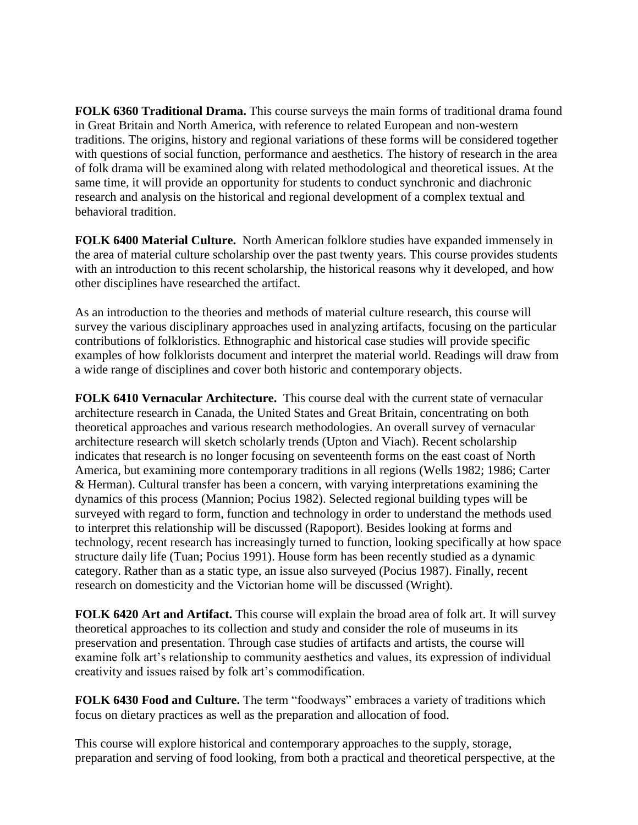**FOLK 6360 Traditional Drama.** This course surveys the main forms of traditional drama found in Great Britain and North America, with reference to related European and non-western traditions. The origins, history and regional variations of these forms will be considered together with questions of social function, performance and aesthetics. The history of research in the area of folk drama will be examined along with related methodological and theoretical issues. At the same time, it will provide an opportunity for students to conduct synchronic and diachronic research and analysis on the historical and regional development of a complex textual and behavioral tradition.

**FOLK 6400 Material Culture.** North American folklore studies have expanded immensely in the area of material culture scholarship over the past twenty years. This course provides students with an introduction to this recent scholarship, the historical reasons why it developed, and how other disciplines have researched the artifact.

As an introduction to the theories and methods of material culture research, this course will survey the various disciplinary approaches used in analyzing artifacts, focusing on the particular contributions of folkloristics. Ethnographic and historical case studies will provide specific examples of how folklorists document and interpret the material world. Readings will draw from a wide range of disciplines and cover both historic and contemporary objects.

**FOLK 6410 Vernacular Architecture.** This course deal with the current state of vernacular architecture research in Canada, the United States and Great Britain, concentrating on both theoretical approaches and various research methodologies. An overall survey of vernacular architecture research will sketch scholarly trends (Upton and Viach). Recent scholarship indicates that research is no longer focusing on seventeenth forms on the east coast of North America, but examining more contemporary traditions in all regions (Wells 1982; 1986; Carter & Herman). Cultural transfer has been a concern, with varying interpretations examining the dynamics of this process (Mannion; Pocius 1982). Selected regional building types will be surveyed with regard to form, function and technology in order to understand the methods used to interpret this relationship will be discussed (Rapoport). Besides looking at forms and technology, recent research has increasingly turned to function, looking specifically at how space structure daily life (Tuan; Pocius 1991). House form has been recently studied as a dynamic category. Rather than as a static type, an issue also surveyed (Pocius 1987). Finally, recent research on domesticity and the Victorian home will be discussed (Wright).

**FOLK 6420 Art and Artifact.** This course will explain the broad area of folk art. It will survey theoretical approaches to its collection and study and consider the role of museums in its preservation and presentation. Through case studies of artifacts and artists, the course will examine folk art's relationship to community aesthetics and values, its expression of individual creativity and issues raised by folk art's commodification.

**FOLK 6430 Food and Culture.** The term "foodways" embraces a variety of traditions which focus on dietary practices as well as the preparation and allocation of food.

This course will explore historical and contemporary approaches to the supply, storage, preparation and serving of food looking, from both a practical and theoretical perspective, at the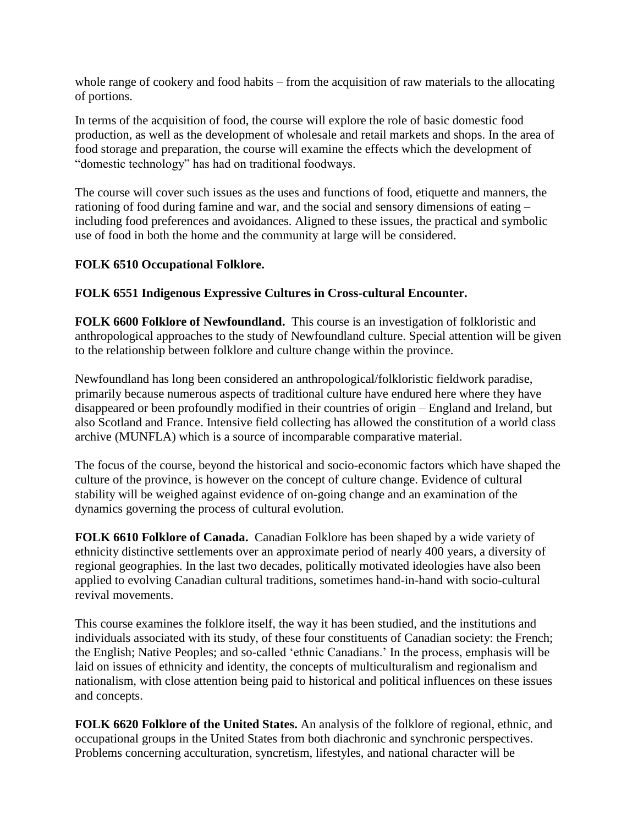whole range of cookery and food habits – from the acquisition of raw materials to the allocating of portions.

In terms of the acquisition of food, the course will explore the role of basic domestic food production, as well as the development of wholesale and retail markets and shops. In the area of food storage and preparation, the course will examine the effects which the development of "domestic technology" has had on traditional foodways.

The course will cover such issues as the uses and functions of food, etiquette and manners, the rationing of food during famine and war, and the social and sensory dimensions of eating – including food preferences and avoidances. Aligned to these issues, the practical and symbolic use of food in both the home and the community at large will be considered.

## **FOLK 6510 Occupational Folklore.**

## **FOLK 6551 Indigenous Expressive Cultures in Cross-cultural Encounter.**

**FOLK 6600 Folklore of Newfoundland.** This course is an investigation of folkloristic and anthropological approaches to the study of Newfoundland culture. Special attention will be given to the relationship between folklore and culture change within the province.

Newfoundland has long been considered an anthropological/folkloristic fieldwork paradise, primarily because numerous aspects of traditional culture have endured here where they have disappeared or been profoundly modified in their countries of origin – England and Ireland, but also Scotland and France. Intensive field collecting has allowed the constitution of a world class archive (MUNFLA) which is a source of incomparable comparative material.

The focus of the course, beyond the historical and socio-economic factors which have shaped the culture of the province, is however on the concept of culture change. Evidence of cultural stability will be weighed against evidence of on-going change and an examination of the dynamics governing the process of cultural evolution.

**FOLK 6610 Folklore of Canada.** Canadian Folklore has been shaped by a wide variety of ethnicity distinctive settlements over an approximate period of nearly 400 years, a diversity of regional geographies. In the last two decades, politically motivated ideologies have also been applied to evolving Canadian cultural traditions, sometimes hand-in-hand with socio-cultural revival movements.

This course examines the folklore itself, the way it has been studied, and the institutions and individuals associated with its study, of these four constituents of Canadian society: the French; the English; Native Peoples; and so-called 'ethnic Canadians.' In the process, emphasis will be laid on issues of ethnicity and identity, the concepts of multiculturalism and regionalism and nationalism, with close attention being paid to historical and political influences on these issues and concepts.

**FOLK 6620 Folklore of the United States.** An analysis of the folklore of regional, ethnic, and occupational groups in the United States from both diachronic and synchronic perspectives. Problems concerning acculturation, syncretism, lifestyles, and national character will be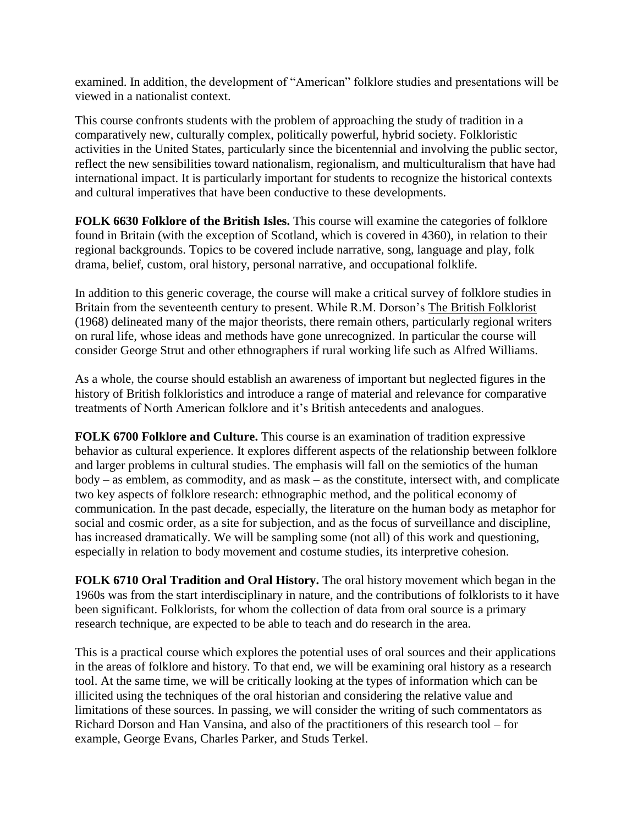examined. In addition, the development of "American" folklore studies and presentations will be viewed in a nationalist context.

This course confronts students with the problem of approaching the study of tradition in a comparatively new, culturally complex, politically powerful, hybrid society. Folkloristic activities in the United States, particularly since the bicentennial and involving the public sector, reflect the new sensibilities toward nationalism, regionalism, and multiculturalism that have had international impact. It is particularly important for students to recognize the historical contexts and cultural imperatives that have been conductive to these developments.

**FOLK 6630 Folklore of the British Isles.** This course will examine the categories of folklore found in Britain (with the exception of Scotland, which is covered in 4360), in relation to their regional backgrounds. Topics to be covered include narrative, song, language and play, folk drama, belief, custom, oral history, personal narrative, and occupational folklife.

In addition to this generic coverage, the course will make a critical survey of folklore studies in Britain from the seventeenth century to present. While R.M. Dorson's The British Folklorist (1968) delineated many of the major theorists, there remain others, particularly regional writers on rural life, whose ideas and methods have gone unrecognized. In particular the course will consider George Strut and other ethnographers if rural working life such as Alfred Williams.

As a whole, the course should establish an awareness of important but neglected figures in the history of British folkloristics and introduce a range of material and relevance for comparative treatments of North American folklore and it's British antecedents and analogues.

**FOLK 6700 Folklore and Culture.** This course is an examination of tradition expressive behavior as cultural experience. It explores different aspects of the relationship between folklore and larger problems in cultural studies. The emphasis will fall on the semiotics of the human body – as emblem, as commodity, and as mask – as the constitute, intersect with, and complicate two key aspects of folklore research: ethnographic method, and the political economy of communication. In the past decade, especially, the literature on the human body as metaphor for social and cosmic order, as a site for subjection, and as the focus of surveillance and discipline, has increased dramatically. We will be sampling some (not all) of this work and questioning, especially in relation to body movement and costume studies, its interpretive cohesion.

**FOLK 6710 Oral Tradition and Oral History.** The oral history movement which began in the 1960s was from the start interdisciplinary in nature, and the contributions of folklorists to it have been significant. Folklorists, for whom the collection of data from oral source is a primary research technique, are expected to be able to teach and do research in the area.

This is a practical course which explores the potential uses of oral sources and their applications in the areas of folklore and history. To that end, we will be examining oral history as a research tool. At the same time, we will be critically looking at the types of information which can be illicited using the techniques of the oral historian and considering the relative value and limitations of these sources. In passing, we will consider the writing of such commentators as Richard Dorson and Han Vansina, and also of the practitioners of this research tool – for example, George Evans, Charles Parker, and Studs Terkel.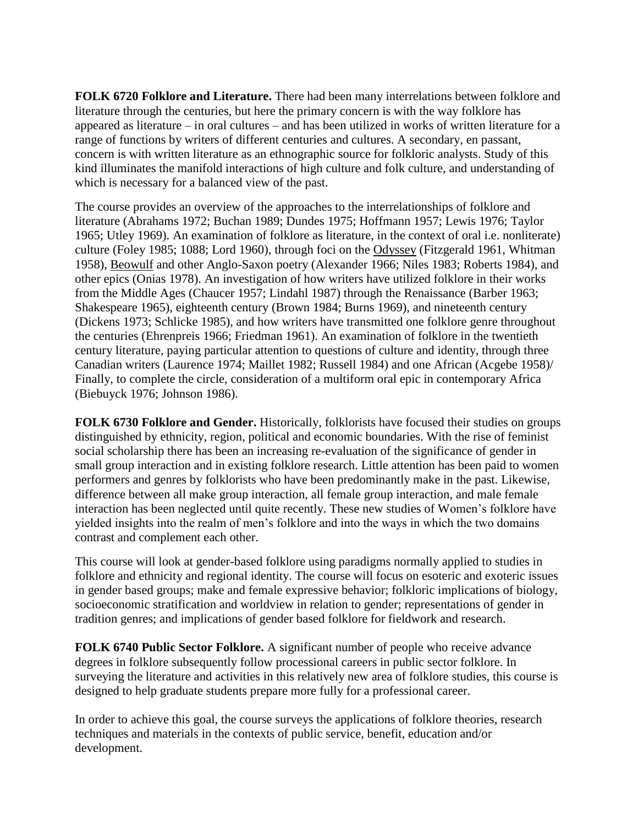**FOLK 6720 Folklore and Literature.** There had been many interrelations between folklore and literature through the centuries, but here the primary concern is with the way folklore has appeared as literature – in oral cultures – and has been utilized in works of written literature for a range of functions by writers of different centuries and cultures. A secondary, en passant, concern is with written literature as an ethnographic source for folkloric analysts. Study of this kind illuminates the manifold interactions of high culture and folk culture, and understanding of which is necessary for a balanced view of the past.

The course provides an overview of the approaches to the interrelationships of folklore and literature (Abrahams 1972; Buchan 1989; Dundes 1975; Hoffmann 1957; Lewis 1976; Taylor 1965; Utley 1969). An examination of folklore as literature, in the context of oral i.e. nonliterate) culture (Foley 1985; 1088; Lord 1960), through foci on the Odyssey (Fitzgerald 1961, Whitman 1958), Beowulf and other Anglo-Saxon poetry (Alexander 1966; Niles 1983; Roberts 1984), and other epics (Onias 1978). An investigation of how writers have utilized folklore in their works from the Middle Ages (Chaucer 1957; Lindahl 1987) through the Renaissance (Barber 1963; Shakespeare 1965), eighteenth century (Brown 1984; Burns 1969), and nineteenth century (Dickens 1973; Schlicke 1985), and how writers have transmitted one folklore genre throughout the centuries (Ehrenpreis 1966; Friedman 1961). An examination of folklore in the twentieth century literature, paying particular attention to questions of culture and identity, through three Canadian writers (Laurence 1974; Maillet 1982; Russell 1984) and one African (Acgebe 1958)/ Finally, to complete the circle, consideration of a multiform oral epic in contemporary Africa (Biebuyck 1976; Johnson 1986).

**FOLK 6730 Folklore and Gender.** Historically, folklorists have focused their studies on groups distinguished by ethnicity, region, political and economic boundaries. With the rise of feminist social scholarship there has been an increasing re-evaluation of the significance of gender in small group interaction and in existing folklore research. Little attention has been paid to women performers and genres by folklorists who have been predominantly make in the past. Likewise, difference between all make group interaction, all female group interaction, and male female interaction has been neglected until quite recently. These new studies of Women's folklore have yielded insights into the realm of men's folklore and into the ways in which the two domains contrast and complement each other.

This course will look at gender-based folklore using paradigms normally applied to studies in folklore and ethnicity and regional identity. The course will focus on esoteric and exoteric issues in gender based groups; make and female expressive behavior; folkloric implications of biology, socioeconomic stratification and worldview in relation to gender; representations of gender in tradition genres; and implications of gender based folklore for fieldwork and research.

**FOLK 6740 Public Sector Folklore.** A significant number of people who receive advance degrees in folklore subsequently follow processional careers in public sector folklore. In surveying the literature and activities in this relatively new area of folklore studies, this course is designed to help graduate students prepare more fully for a professional career.

In order to achieve this goal, the course surveys the applications of folklore theories, research techniques and materials in the contexts of public service, benefit, education and/or development.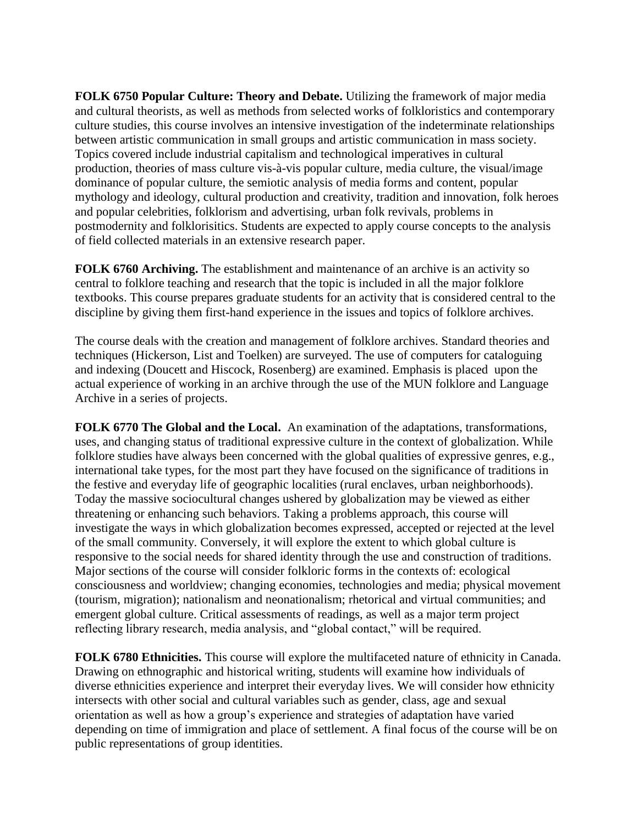**FOLK 6750 Popular Culture: Theory and Debate.** Utilizing the framework of major media and cultural theorists, as well as methods from selected works of folkloristics and contemporary culture studies, this course involves an intensive investigation of the indeterminate relationships between artistic communication in small groups and artistic communication in mass society. Topics covered include industrial capitalism and technological imperatives in cultural production, theories of mass culture vis-à-vis popular culture, media culture, the visual/image dominance of popular culture, the semiotic analysis of media forms and content, popular mythology and ideology, cultural production and creativity, tradition and innovation, folk heroes and popular celebrities, folklorism and advertising, urban folk revivals, problems in postmodernity and folklorisitics. Students are expected to apply course concepts to the analysis of field collected materials in an extensive research paper.

**FOLK 6760 Archiving.** The establishment and maintenance of an archive is an activity so central to folklore teaching and research that the topic is included in all the major folklore textbooks. This course prepares graduate students for an activity that is considered central to the discipline by giving them first-hand experience in the issues and topics of folklore archives.

The course deals with the creation and management of folklore archives. Standard theories and techniques (Hickerson, List and Toelken) are surveyed. The use of computers for cataloguing and indexing (Doucett and Hiscock, Rosenberg) are examined. Emphasis is placed upon the actual experience of working in an archive through the use of the MUN folklore and Language Archive in a series of projects.

**FOLK 6770 The Global and the Local.** An examination of the adaptations, transformations, uses, and changing status of traditional expressive culture in the context of globalization. While folklore studies have always been concerned with the global qualities of expressive genres, e.g., international take types, for the most part they have focused on the significance of traditions in the festive and everyday life of geographic localities (rural enclaves, urban neighborhoods). Today the massive sociocultural changes ushered by globalization may be viewed as either threatening or enhancing such behaviors. Taking a problems approach, this course will investigate the ways in which globalization becomes expressed, accepted or rejected at the level of the small community. Conversely, it will explore the extent to which global culture is responsive to the social needs for shared identity through the use and construction of traditions. Major sections of the course will consider folkloric forms in the contexts of: ecological consciousness and worldview; changing economies, technologies and media; physical movement (tourism, migration); nationalism and neonationalism; rhetorical and virtual communities; and emergent global culture. Critical assessments of readings, as well as a major term project reflecting library research, media analysis, and "global contact," will be required.

**FOLK 6780 Ethnicities.** This course will explore the multifaceted nature of ethnicity in Canada. Drawing on ethnographic and historical writing, students will examine how individuals of diverse ethnicities experience and interpret their everyday lives. We will consider how ethnicity intersects with other social and cultural variables such as gender, class, age and sexual orientation as well as how a group's experience and strategies of adaptation have varied depending on time of immigration and place of settlement. A final focus of the course will be on public representations of group identities.